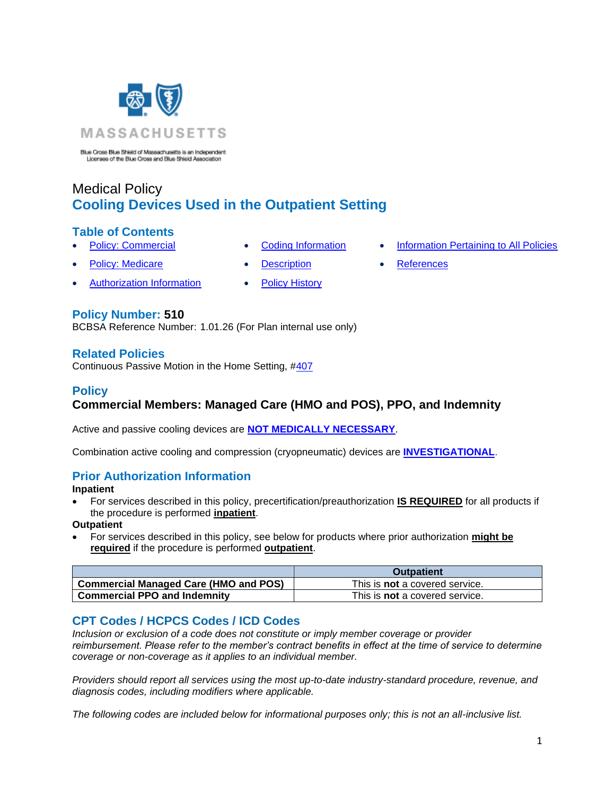

Blue Cross Blue Shield of Massachusetts is an Independent Licensee of the Blue Cross and Blue Shield Association

# Medical Policy **Cooling Devices Used in the Outpatient Setting**

### **Table of Contents**

- 
- 
- **[Policy: Commercial](#page-0-0) [Coding Information](#page-0-1) [Information Pertaining to All Policies](#page-2-0)**
- 
- 
- **[Policy: Medicare](#page-0-0) Conserversity Conserversity Conserversity Conserversity Conserversity Conserversity Conserversity Conserversity Conserversity Conserversity Conserversity Conserversity Conserversity Conserversity Conser**
- 

## **Policy Number: 510**

BCBSA Reference Number: 1.01.26 (For Plan internal use only)

• Authorization Information • [Policy History](#page-2-1)

### **Related Policies**

Continuous Passive Motion in the Home Setting, [#407](https://www.bluecrossma.org/medical-policies/sites/g/files/csphws2091/files/acquiadam-assets/407%20Continuous%20Passive%20Motion%20in%20the%20Home%20Setting%20prn.pdf)

### <span id="page-0-0"></span>**Policy Commercial Members: Managed Care (HMO and POS), PPO, and Indemnity**

Active and passive cooling devices are **[NOT MEDICALLY NECESSARY](https://www.bluecrossma.org/medical-policies/sites/g/files/csphws2091/files/acquiadam-assets/Definition%20of%20Med%20Nec%20Inv%20Not%20Med%20Nec%20prn.pdf#page=1)**.

Combination active cooling and compression (cryopneumatic) devices are **[INVESTIGATIONAL](https://www.bluecrossma.org/medical-policies/sites/g/files/csphws2091/files/acquiadam-assets/Definition%20of%20Med%20Nec%20Inv%20Not%20Med%20Nec%20prn.pdf#page=1)**.

### **Prior Authorization Information**

**Inpatient**

• For services described in this policy, precertification/preauthorization **IS REQUIRED** for all products if the procedure is performed **inpatient**.

**Outpatient**

• For services described in this policy, see below for products where prior authorization **might be required** if the procedure is performed **outpatient**.

|                                              | <b>Outpatient</b>                     |
|----------------------------------------------|---------------------------------------|
| <b>Commercial Managed Care (HMO and POS)</b> | This is <b>not</b> a covered service. |
| <b>Commercial PPO and Indemnity</b>          | This is <b>not</b> a covered service. |

## <span id="page-0-1"></span>**CPT Codes / HCPCS Codes / ICD Codes**

*Inclusion or exclusion of a code does not constitute or imply member coverage or provider reimbursement. Please refer to the member's contract benefits in effect at the time of service to determine coverage or non-coverage as it applies to an individual member.*

*Providers should report all services using the most up-to-date industry-standard procedure, revenue, and diagnosis codes, including modifiers where applicable.*

*The following codes are included below for informational purposes only; this is not an all-inclusive list.*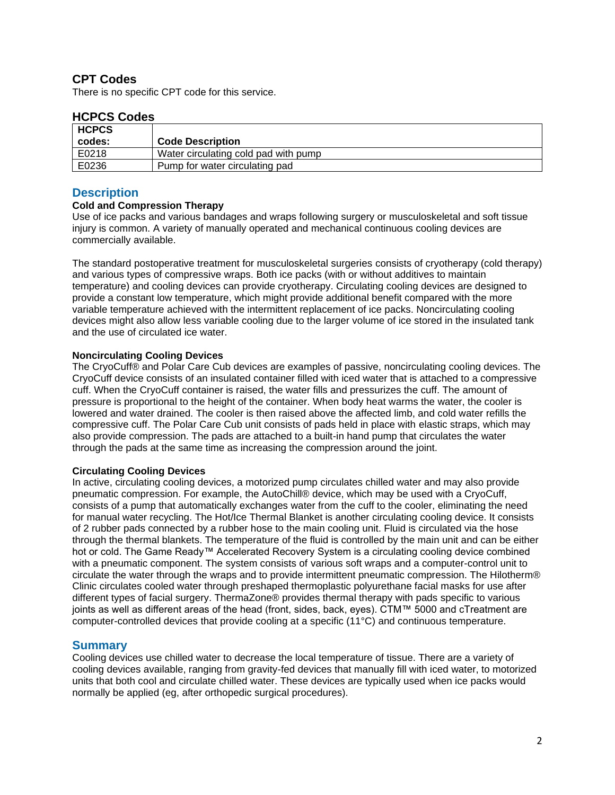### **CPT Codes**

There is no specific CPT code for this service.

#### **HCPCS Codes**

| <b>HCPCS</b><br>codes: | <b>Code Description</b>              |
|------------------------|--------------------------------------|
| E0218                  | Water circulating cold pad with pump |
| E0236                  | Pump for water circulating pad       |

#### <span id="page-1-0"></span>**Description**

#### **Cold and Compression Therapy**

Use of ice packs and various bandages and wraps following surgery or musculoskeletal and soft tissue injury is common. A variety of manually operated and mechanical continuous cooling devices are commercially available.

The standard postoperative treatment for musculoskeletal surgeries consists of cryotherapy (cold therapy) and various types of compressive wraps. Both ice packs (with or without additives to maintain temperature) and cooling devices can provide cryotherapy. Circulating cooling devices are designed to provide a constant low temperature, which might provide additional benefit compared with the more variable temperature achieved with the intermittent replacement of ice packs. Noncirculating cooling devices might also allow less variable cooling due to the larger volume of ice stored in the insulated tank and the use of circulated ice water.

#### **Noncirculating Cooling Devices**

The CryoCuff® and Polar Care Cub devices are examples of passive, noncirculating cooling devices. The CryoCuff device consists of an insulated container filled with iced water that is attached to a compressive cuff. When the CryoCuff container is raised, the water fills and pressurizes the cuff. The amount of pressure is proportional to the height of the container. When body heat warms the water, the cooler is lowered and water drained. The cooler is then raised above the affected limb, and cold water refills the compressive cuff. The Polar Care Cub unit consists of pads held in place with elastic straps, which may also provide compression. The pads are attached to a built-in hand pump that circulates the water through the pads at the same time as increasing the compression around the joint.

#### **Circulating Cooling Devices**

In active, circulating cooling devices, a motorized pump circulates chilled water and may also provide pneumatic compression. For example, the AutoChill® device, which may be used with a CryoCuff, consists of a pump that automatically exchanges water from the cuff to the cooler, eliminating the need for manual water recycling. The Hot/Ice Thermal Blanket is another circulating cooling device. It consists of 2 rubber pads connected by a rubber hose to the main cooling unit. Fluid is circulated via the hose through the thermal blankets. The temperature of the fluid is controlled by the main unit and can be either hot or cold. The Game Ready™ Accelerated Recovery System is a circulating cooling device combined with a pneumatic component. The system consists of various soft wraps and a computer-control unit to circulate the water through the wraps and to provide intermittent pneumatic compression. The Hilotherm® Clinic circulates cooled water through preshaped thermoplastic polyurethane facial masks for use after different types of facial surgery. ThermaZone® provides thermal therapy with pads specific to various joints as well as different areas of the head (front, sides, back, eyes). CTM™ 5000 and cTreatment are computer-controlled devices that provide cooling at a specific (11°C) and continuous temperature.

#### **Summary**

Cooling devices use chilled water to decrease the local temperature of tissue. There are a variety of cooling devices available, ranging from gravity-fed devices that manually fill with iced water, to motorized units that both cool and circulate chilled water. These devices are typically used when ice packs would normally be applied (eg, after orthopedic surgical procedures).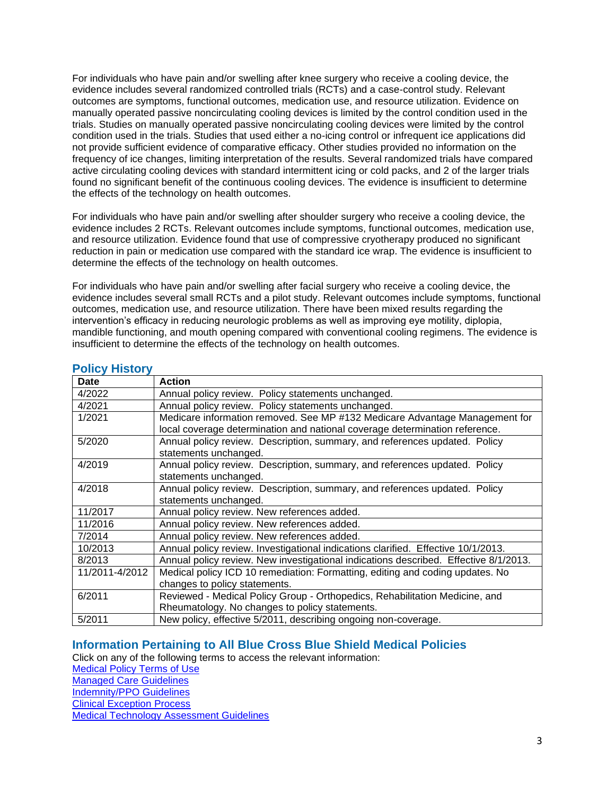For individuals who have pain and/or swelling after knee surgery who receive a cooling device, the evidence includes several randomized controlled trials (RCTs) and a case-control study. Relevant outcomes are symptoms, functional outcomes, medication use, and resource utilization. Evidence on manually operated passive noncirculating cooling devices is limited by the control condition used in the trials. Studies on manually operated passive noncirculating cooling devices were limited by the control condition used in the trials. Studies that used either a no-icing control or infrequent ice applications did not provide sufficient evidence of comparative efficacy. Other studies provided no information on the frequency of ice changes, limiting interpretation of the results. Several randomized trials have compared active circulating cooling devices with standard intermittent icing or cold packs, and 2 of the larger trials found no significant benefit of the continuous cooling devices. The evidence is insufficient to determine the effects of the technology on health outcomes.

For individuals who have pain and/or swelling after shoulder surgery who receive a cooling device, the evidence includes 2 RCTs. Relevant outcomes include symptoms, functional outcomes, medication use, and resource utilization. Evidence found that use of compressive cryotherapy produced no significant reduction in pain or medication use compared with the standard ice wrap. The evidence is insufficient to determine the effects of the technology on health outcomes.

For individuals who have pain and/or swelling after facial surgery who receive a cooling device, the evidence includes several small RCTs and a pilot study. Relevant outcomes include symptoms, functional outcomes, medication use, and resource utilization. There have been mixed results regarding the intervention's efficacy in reducing neurologic problems as well as improving eye motility, diplopia, mandible functioning, and mouth opening compared with conventional cooling regimens. The evidence is insufficient to determine the effects of the technology on health outcomes.

| <b>Date</b>    | <b>Action</b>                                                                        |
|----------------|--------------------------------------------------------------------------------------|
| 4/2022         | Annual policy review. Policy statements unchanged.                                   |
| 4/2021         | Annual policy review. Policy statements unchanged.                                   |
| 1/2021         | Medicare information removed. See MP #132 Medicare Advantage Management for          |
|                | local coverage determination and national coverage determination reference.          |
| 5/2020         | Annual policy review. Description, summary, and references updated. Policy           |
|                | statements unchanged.                                                                |
| 4/2019         | Annual policy review. Description, summary, and references updated. Policy           |
|                | statements unchanged.                                                                |
| 4/2018         | Annual policy review. Description, summary, and references updated. Policy           |
|                | statements unchanged.                                                                |
| 11/2017        | Annual policy review. New references added.                                          |
| 11/2016        | Annual policy review. New references added.                                          |
| 7/2014         | Annual policy review. New references added.                                          |
| 10/2013        | Annual policy review. Investigational indications clarified. Effective 10/1/2013.    |
| 8/2013         | Annual policy review. New investigational indications described. Effective 8/1/2013. |
| 11/2011-4/2012 | Medical policy ICD 10 remediation: Formatting, editing and coding updates. No        |
|                | changes to policy statements.                                                        |
| 6/2011         | Reviewed - Medical Policy Group - Orthopedics, Rehabilitation Medicine, and          |
|                | Rheumatology. No changes to policy statements.                                       |
| 5/2011         | New policy, effective 5/2011, describing ongoing non-coverage.                       |

#### <span id="page-2-1"></span>**Policy History**

#### <span id="page-2-0"></span>**Information Pertaining to All Blue Cross Blue Shield Medical Policies**

Click on any of the following terms to access the relevant information: [Medical Policy Terms of Use](http://www.bluecrossma.org/medical-policies/sites/g/files/csphws2091/files/acquiadam-assets/Medical_Policy_Terms_of_Use_prn.pdf) [Managed Care Guidelines](http://www.bluecrossma.org/medical-policies/sites/g/files/csphws2091/files/acquiadam-assets/Managed_Care_Guidelines_prn.pdf) [Indemnity/PPO Guidelines](http://www.bluecrossma.org/medical-policies/sites/g/files/csphws2091/files/acquiadam-assets/Indemnity_and_PPO_Guidelines_prn.pdf) [Clinical Exception Process](http://www.bluecrossma.org/medical-policies/sites/g/files/csphws2091/files/acquiadam-assets/Clinical_Exception_Process_prn.pdf) [Medical Technology Assessment Guidelines](http://www.bluecrossma.org/medical-policies/sites/g/files/csphws2091/files/acquiadam-assets/Medical_Technology_Assessment_Guidelines_prn.pdf)